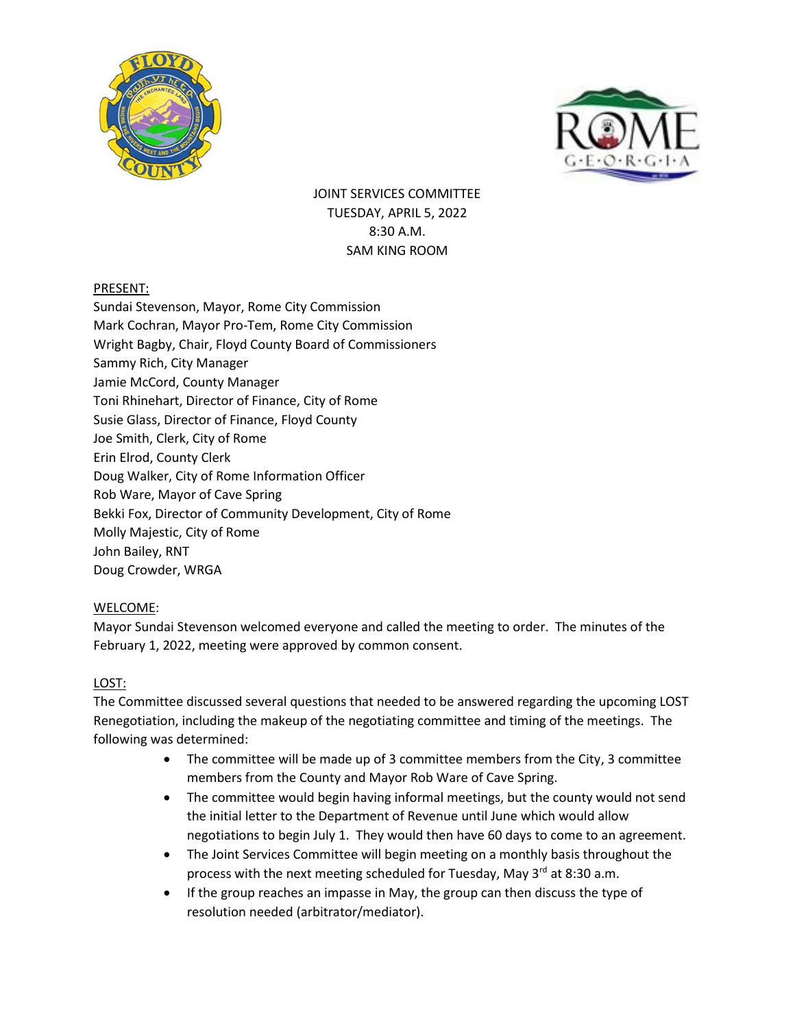



JOINT SERVICES COMMITTEE TUESDAY, APRIL 5, 2022 8:30 A.M. SAM KING ROOM

# PRESENT:

Sundai Stevenson, Mayor, Rome City Commission Mark Cochran, Mayor Pro-Tem, Rome City Commission Wright Bagby, Chair, Floyd County Board of Commissioners Sammy Rich, City Manager Jamie McCord, County Manager Toni Rhinehart, Director of Finance, City of Rome Susie Glass, Director of Finance, Floyd County Joe Smith, Clerk, City of Rome Erin Elrod, County Clerk Doug Walker, City of Rome Information Officer Rob Ware, Mayor of Cave Spring Bekki Fox, Director of Community Development, City of Rome Molly Majestic, City of Rome John Bailey, RNT Doug Crowder, WRGA

# WELCOME:

Mayor Sundai Stevenson welcomed everyone and called the meeting to order. The minutes of the February 1, 2022, meeting were approved by common consent.

### LOST:

The Committee discussed several questions that needed to be answered regarding the upcoming LOST Renegotiation, including the makeup of the negotiating committee and timing of the meetings. The following was determined:

- The committee will be made up of 3 committee members from the City, 3 committee members from the County and Mayor Rob Ware of Cave Spring.
- The committee would begin having informal meetings, but the county would not send the initial letter to the Department of Revenue until June which would allow negotiations to begin July 1. They would then have 60 days to come to an agreement.
- The Joint Services Committee will begin meeting on a monthly basis throughout the process with the next meeting scheduled for Tuesday, May  $3^{rd}$  at 8:30 a.m.
- If the group reaches an impasse in May, the group can then discuss the type of resolution needed (arbitrator/mediator).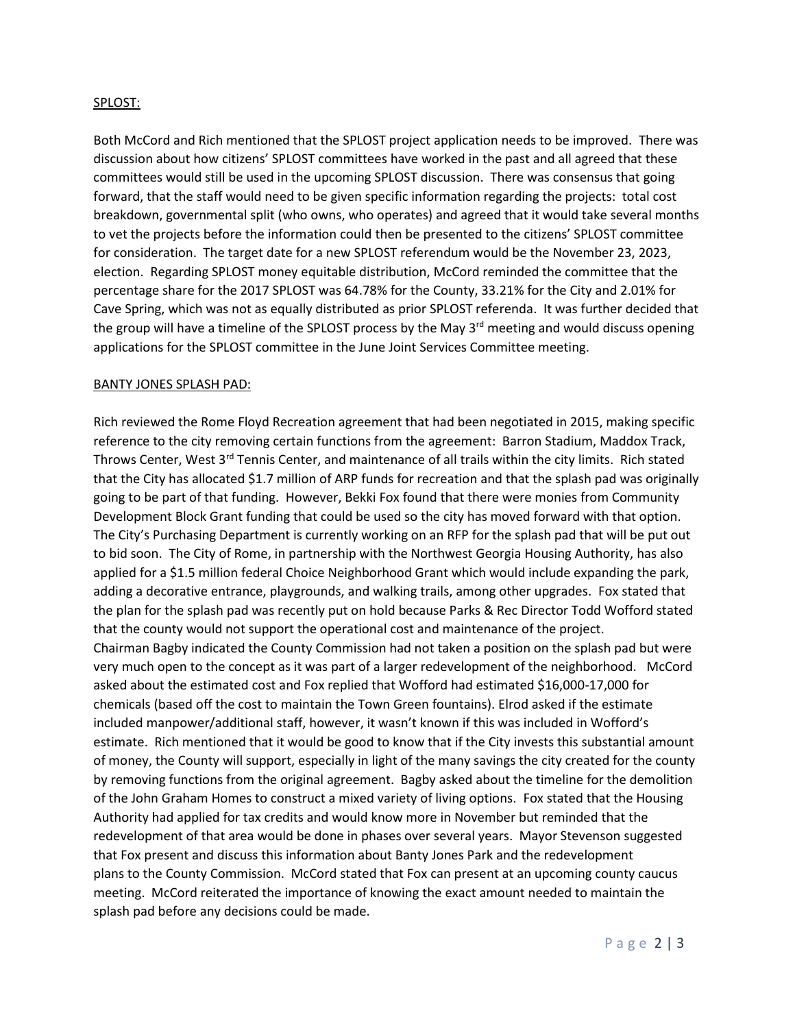#### SPLOST:

Both McCord and Rich mentioned that the SPLOST project application needs to be improved. There was discussion about how citizens' SPLOST committees have worked in the past and all agreed that these committees would still be used in the upcoming SPLOST discussion. There was consensus that going forward, that the staff would need to be given specific information regarding the projects: total cost breakdown, governmental split (who owns, who operates) and agreed that it would take several months to vet the projects before the information could then be presented to the citizens' SPLOST committee for consideration. The target date for a new SPLOST referendum would be the November 23, 2023, election. Regarding SPLOST money equitable distribution, McCord reminded the committee that the percentage share for the 2017 SPLOST was 64.78% for the County, 33.21% for the City and 2.01% for Cave Spring, which was not as equally distributed as prior SPLOST referenda. It was further decided that the group will have a timeline of the SPLOST process by the May  $3^{rd}$  meeting and would discuss opening applications for the SPLOST committee in the June Joint Services Committee meeting.

#### BANTY JONES SPLASH PAD:

Rich reviewed the Rome Floyd Recreation agreement that had been negotiated in 2015, making specific reference to the city removing certain functions from the agreement: Barron Stadium, Maddox Track, Throws Center, West 3<sup>rd</sup> Tennis Center, and maintenance of all trails within the city limits. Rich stated that the City has allocated \$1.7 million of ARP funds for recreation and that the splash pad was originally going to be part of that funding. However, Bekki Fox found that there were monies from Community Development Block Grant funding that could be used so the city has moved forward with that option. The City's Purchasing Department is currently working on an RFP for the splash pad that will be put out to bid soon. The City of Rome, in partnership with the Northwest Georgia Housing Authority, has also applied for a \$1.5 million federal Choice Neighborhood Grant which would include expanding the park, adding a decorative entrance, playgrounds, and walking trails, among other upgrades. Fox stated that the plan for the splash pad was recently put on hold because Parks & Rec Director Todd Wofford stated that the county would not support the operational cost and maintenance of the project. Chairman Bagby indicated the County Commission had not taken a position on the splash pad but were very much open to the concept as it was part of a larger redevelopment of the neighborhood. McCord asked about the estimated cost and Fox replied that Wofford had estimated \$16,000-17,000 for chemicals (based off the cost to maintain the Town Green fountains). Elrod asked if the estimate included manpower/additional staff, however, it wasn't known if this was included in Wofford's estimate. Rich mentioned that it would be good to know that if the City invests this substantial amount of money, the County will support, especially in light of the many savings the city created for the county by removing functions from the original agreement. Bagby asked about the timeline for the demolition of the John Graham Homes to construct a mixed variety of living options. Fox stated that the Housing Authority had applied for tax credits and would know more in November but reminded that the redevelopment of that area would be done in phases over several years. Mayor Stevenson suggested that Fox present and discuss this information about Banty Jones Park and the redevelopment plans to the County Commission. McCord stated that Fox can present at an upcoming county caucus meeting. McCord reiterated the importance of knowing the exact amount needed to maintain the splash pad before any decisions could be made.